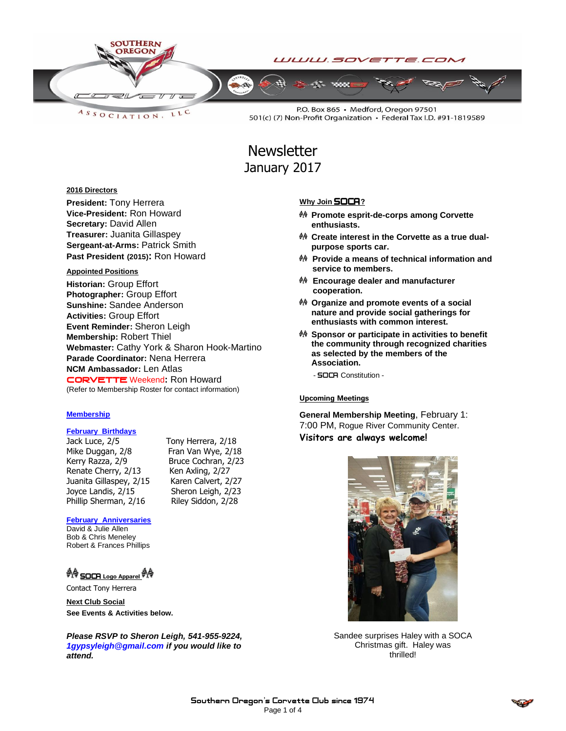

LLC ASSOCIATION.

P.O. Box 865 · Medford, Oregon 97501 501(c) (7) Non-Profit Organization • Federal Tax I.D. #91-1819589

**Newsletter** January 2017

#### **2016 Directors**

**President:** Tony Herrera **Vice-President:** Ron Howard **Secretary:** David Allen **Treasurer:** Juanita Gillaspey **Sergeant-at-Arms:** Patrick Smith **Past President (2015):** Ron Howard

#### **Appointed Positions**

**Historian:** Group Effort **Photographer:** Group Effort **Sunshine:** Sandee Anderson **Activities:** Group Effort **Event Reminder:** Sheron Leigh **Membership:** Robert Thiel **Webmaster:** Cathy York & Sharon Hook-Martino **Parade Coordinator:** Nena Herrera **NCM Ambassador:** Len Atlas CORVETTEWeekend**:** Ron Howard (Refer to Membership Roster for contact information)

#### **Membership**

#### **February Birthdays**

Jack Luce, 2/5 Tony Herrera, 2/18 Mike Duggan, 2/8 Fran Van Wye, 2/18 Kerry Razza, 2/9 Bruce Cochran, 2/23 Renate Cherry, 2/13 Ken Axling, 2/27 Juanita Gillaspey, 2/15 Karen Calvert, 2/27 Joyce Landis, 2/15<br>
Phillip Sherman, 2/16 Riley Siddon, 2/28 Phillip Sherman, 2/16

#### **February Anniversaries**

David & Julie Allen Bob & Chris Meneley Robert & Frances Phillips

### **A SOCA** Logo Apparel **A**

Contact Tony Herrera

**Next Club Social See Events & Activities below.** 

*Please RSVP to Sheron Leigh, 541-955-9224, 1gypsyleigh@gmail.com if you would like to attend.*

#### **Why Join SOCA**?

- **Promote esprit-de-corps among Corvette enthusiasts.**
- **Create interest in the Corvette as a true dualpurpose sports car.**
- **Provide a means of technical information and service to members.**
- **Encourage dealer and manufacturer cooperation.**
- **Organize and promote events of a social nature and provide social gatherings for enthusiasts with common interest.**
- **Sponsor or participate in activities to benefit the community through recognized charities as selected by the members of the Association.**
	- **SOCA** Constitution -

#### Upcoming Meetings

**General Membership Meeting**, February 1: 7:00 PM, Rogue River Community Center. **Visitors are always welcome!**



Sandee surprises Haley with a SOCA Christmas gift. Haley was thrilled!

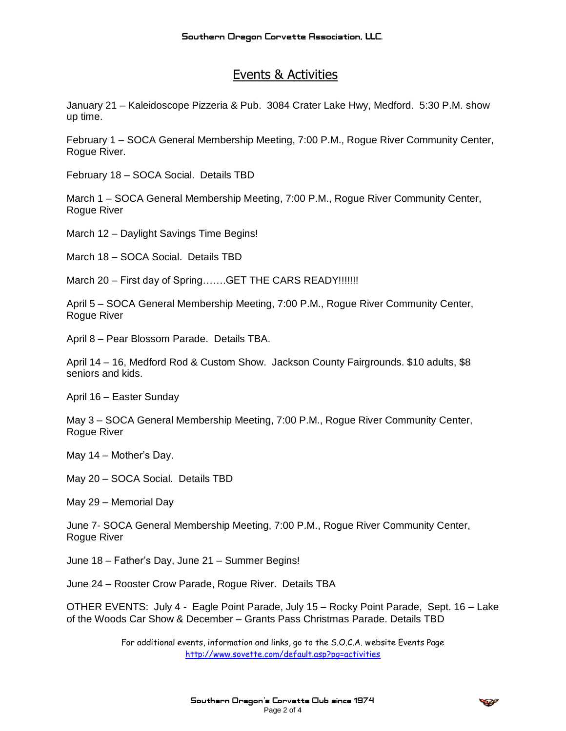### Events & Activities

January 21 – Kaleidoscope Pizzeria & Pub. 3084 Crater Lake Hwy, Medford. 5:30 P.M. show up time.

February 1 – SOCA General Membership Meeting, 7:00 P.M., Rogue River Community Center, Rogue River.

February 18 – SOCA Social. Details TBD

March 1 – SOCA General Membership Meeting, 7:00 P.M., Rogue River Community Center, Rogue River

March 12 – Daylight Savings Time Begins!

March 18 – SOCA Social. Details TBD

March 20 – First day of Spring.......GET THE CARS READY!!!!!!!

April 5 – SOCA General Membership Meeting, 7:00 P.M., Rogue River Community Center, Rogue River

April 8 – Pear Blossom Parade. Details TBA.

April 14 – 16, Medford Rod & Custom Show. Jackson County Fairgrounds. \$10 adults, \$8 seniors and kids.

April 16 – Easter Sunday

May 3 – SOCA General Membership Meeting, 7:00 P.M., Rogue River Community Center, Rogue River

May 14 – Mother's Day.

May 20 – SOCA Social. Details TBD

May 29 – Memorial Day

June 7- SOCA General Membership Meeting, 7:00 P.M., Rogue River Community Center, Rogue River

June 18 – Father's Day, June 21 – Summer Begins!

June 24 – Rooster Crow Parade, Rogue River. Details TBA

OTHER EVENTS: July 4 - Eagle Point Parade, July 15 – Rocky Point Parade, Sept. 16 – Lake of the Woods Car Show & December – Grants Pass Christmas Parade. Details TBD

> For additional events, information and links, go to the S.O.C.A. website Events Page <http://www.sovette.com/default.asp?pg=activities>

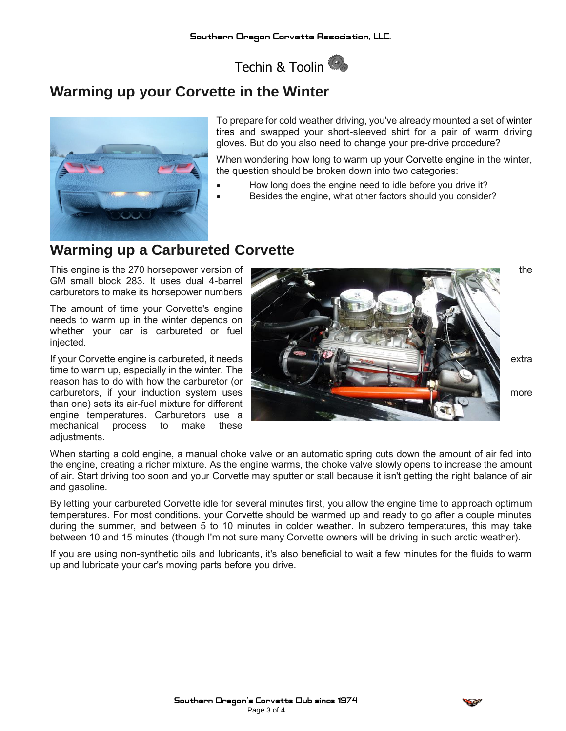Techin & Toolin

# **Warming up your Corvette in the Winter**



**To prepare for cold weather driving, you've already mounted a set of [winter](http://corvettes.about.com/od/partsservice/tp/Whats-the-best-winter-tire-for-a-Corvette-Stingray.htm)  [tires](http://corvettes.about.com/od/partsservice/tp/Whats-the-best-winter-tire-for-a-Corvette-Stingray.htm) and swapped your short-sleeved shirt for a pair of warm driving gloves. But do you also need to change your pre-drive procedure?**

**When wondering how long to warm up your [Corvette engine](http://corvettes.about.com/od/history/tp/5-Reasons-Corvettes-Engine-Won-a-WardsAuto-Award.htm) in the winter, the question should be broken down into two categories:**

- **How long does the engine need to idle before you drive it?**
- **Besides the engine, what other factors should you consider?**

## **Warming up a Carbureted Corvette**

**GM small block 283. It uses dual 4-barrel carburetors to make its horsepower numbers**

**The amount of time your Corvette's engine needs to warm up in the winter depends on whether your car is carbureted or fuel injected.**

**time to warm up, especially in the winter. The reason has to do with how the carburetor (or than one) sets its air-fuel mixture for different engine temperatures. Carburetors use a mechanical process to make these adjustments.**



**When starting a cold engine, a manual choke valve or an automatic spring cuts down the amount of air fed into the engine, creating a richer mixture. As the engine warms, the choke valve slowly opens to increase the amount of air. Start driving too soon and your Corvette may sputter or stall because it isn't getting the right balance of air and gasoline.**

**By letting your carbureted Corvette idle for several minutes first, you allow the engine time to approach optimum temperatures. For most conditions, your Corvette should be warmed up and ready to go after a couple minutes during the summer, and between 5 to 10 minutes in colder weather. In subzero temperatures, this may take between 10 and 15 minutes (though I'm not sure many Corvette owners will be driving in such arctic weather).**

**If you are using non-synthetic oils and lubricants, it's also beneficial to wait a few minutes for the fluids to warm up and lubricate your car's moving parts before you drive.**